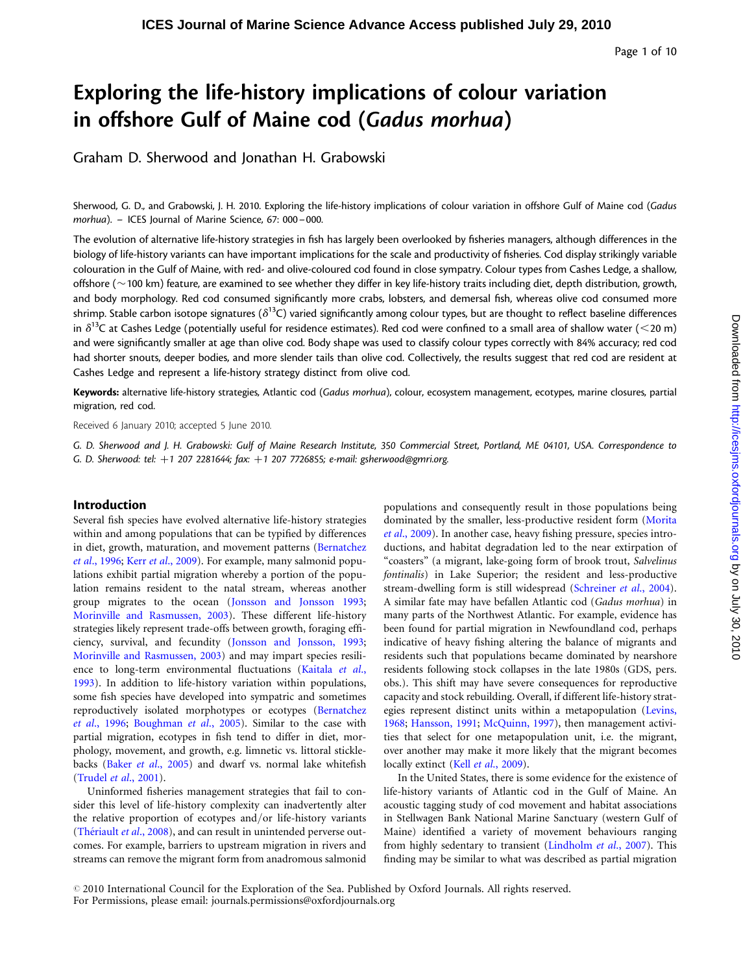Page 1 of 10

# Exploring the life-history implications of colour variation in offshore Gulf of Maine cod (Gadus morhua)

Graham D. Sherwood and Jonathan H. Grabowski

Sherwood, G. D., and Grabowski, J. H. 2010. Exploring the life-history implications of colour variation in offshore Gulf of Maine cod (Gadus morhua). – ICES Journal of Marine Science, 67: 000–000.

The evolution of alternative life-history strategies in fish has largely been overlooked by fisheries managers, although differences in the biology of life-history variants can have important implications for the scale and productivity of fisheries. Cod display strikingly variable colouration in the Gulf of Maine, with red- and olive-coloured cod found in close sympatry. Colour types from Cashes Ledge, a shallow, offshore ( $\sim$ 100 km) feature, are examined to see whether they differ in key life-history traits including diet, depth distribution, growth, and body morphology. Red cod consumed significantly more crabs, lobsters, and demersal fish, whereas olive cod consumed more shrimp. Stable carbon isotope signatures ( $\delta^{13}$ C) varied significantly among colour types, but are thought to reflect baseline differences in  $\delta^{13}$ C at Cashes Ledge (potentially useful for residence estimates). Red cod were confined to a small area of shallow water (<20 m) and were significantly smaller at age than olive cod. Body shape was used to classify colour types correctly with 84% accuracy; red cod had shorter snouts, deeper bodies, and more slender tails than olive cod. Collectively, the results suggest that red cod are resident at Cashes Ledge and represent a life-history strategy distinct from olive cod.

Keywords: alternative life-history strategies, Atlantic cod (Gadus morhua), colour, ecosystem management, ecotypes, marine closures, partial migration, red cod.

Received 6 January 2010; accepted 5 June 2010.

G. D. Sherwood and J. H. Grabowski: Gulf of Maine Research Institute, 350 Commercial Street, Portland, ME 04101, USA. Correspondence to G. D. Sherwood: tel:  $+1$  207 2281644; fax:  $+1$  207 7726855; e-mail: gsherwood@gmri.org.

#### Introduction

Several fish species have evolved alternative life-history strategies within and among populations that can be typified by differences in diet, growth, maturation, and movement patterns ([Bernatchez](#page-8-0) et al[., 1996](#page-8-0); Kerr et al[., 2009](#page-8-0)). For example, many salmonid populations exhibit partial migration whereby a portion of the population remains resident to the natal stream, whereas another group migrates to the ocean ([Jonsson and Jonsson 1993](#page-8-0); [Morinville and Rasmussen, 2003\)](#page-9-0). These different life-history strategies likely represent trade-offs between growth, foraging efficiency, survival, and fecundity [\(Jonsson and Jonsson, 1993](#page-8-0); [Morinville and Rasmussen, 2003\)](#page-9-0) and may impart species resilience to long-term environmental fluctuations [\(Kaitala](#page-8-0) et al., [1993\)](#page-8-0). In addition to life-history variation within populations, some fish species have developed into sympatric and sometimes reproductively isolated morphotypes or ecotypes ([Bernatchez](#page-8-0) et al[., 1996](#page-8-0); [Boughman](#page-8-0) et al., 2005). Similar to the case with partial migration, ecotypes in fish tend to differ in diet, morphology, movement, and growth, e.g. limnetic vs. littoral sticklebacks (Baker et al[., 2005](#page-8-0)) and dwarf vs. normal lake whitefish (Trudel et al[., 2001](#page-9-0)).

Uninformed fisheries management strategies that fail to consider this level of life-history complexity can inadvertently alter the relative proportion of ecotypes and/or life-history variants (Thériault et al., 2008), and can result in unintended perverse outcomes. For example, barriers to upstream migration in rivers and streams can remove the migrant form from anadromous salmonid

populations and consequently result in those populations being dominated by the smaller, less-productive resident form ([Morita](#page-9-0) et al[., 2009\)](#page-9-0). In another case, heavy fishing pressure, species introductions, and habitat degradation led to the near extirpation of "coasters" (a migrant, lake-going form of brook trout, Salvelinus fontinalis) in Lake Superior; the resident and less-productive stream-dwelling form is still widespread [\(Schreiner](#page-9-0) et al., 2004). A similar fate may have befallen Atlantic cod (Gadus morhua) in many parts of the Northwest Atlantic. For example, evidence has been found for partial migration in Newfoundland cod, perhaps indicative of heavy fishing altering the balance of migrants and residents such that populations became dominated by nearshore residents following stock collapses in the late 1980s (GDS, pers. obs.). This shift may have severe consequences for reproductive capacity and stock rebuilding. Overall, if different life-history strategies represent distinct units within a metapopulation ([Levins,](#page-8-0) [1968](#page-8-0); [Hansson, 1991;](#page-8-0) [McQuinn, 1997](#page-9-0)), then management activities that select for one metapopulation unit, i.e. the migrant, over another may make it more likely that the migrant becomes locally extinct (Kell et al[., 2009\)](#page-8-0).

In the United States, there is some evidence for the existence of life-history variants of Atlantic cod in the Gulf of Maine. An acoustic tagging study of cod movement and habitat associations in Stellwagen Bank National Marine Sanctuary (western Gulf of Maine) identified a variety of movement behaviours ranging from highly sedentary to transient [\(Lindholm](#page-8-0) et al., 2007). This finding may be similar to what was described as partial migration

 $\odot$  2010 International Council for the Exploration of the Sea. Published by Oxford Journals. All rights reserved. For Permissions, please email: journals.permissions@oxfordjournals.org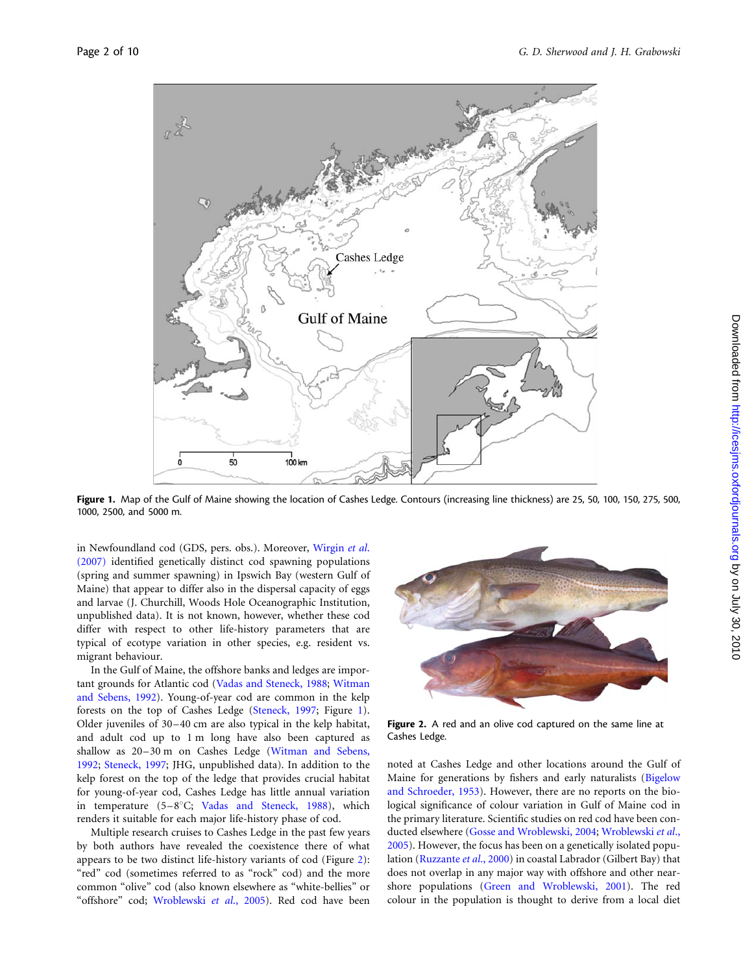<span id="page-1-0"></span>

Figure 1. Map of the Gulf of Maine showing the location of Cashes Ledge. Contours (increasing line thickness) are 25, 50, 100, 150, 275, 500, 1000, 2500, and 5000 m.

in Newfoundland cod (GDS, pers. obs.). Moreover, [Wirgin](#page-9-0) et al. [\(2007\)](#page-9-0) identified genetically distinct cod spawning populations (spring and summer spawning) in Ipswich Bay (western Gulf of Maine) that appear to differ also in the dispersal capacity of eggs and larvae (J. Churchill, Woods Hole Oceanographic Institution, unpublished data). It is not known, however, whether these cod differ with respect to other life-history parameters that are typical of ecotype variation in other species, e.g. resident vs. migrant behaviour.

In the Gulf of Maine, the offshore banks and ledges are important grounds for Atlantic cod ([Vadas and Steneck, 1988;](#page-9-0) [Witman](#page-9-0) [and Sebens, 1992](#page-9-0)). Young-of-year cod are common in the kelp forests on the top of Cashes Ledge ([Steneck, 1997;](#page-9-0) Figure 1). Older juveniles of 30 –40 cm are also typical in the kelp habitat, and adult cod up to 1 m long have also been captured as shallow as 20-30 m on Cashes Ledge ([Witman and Sebens,](#page-9-0) [1992;](#page-9-0) [Steneck, 1997;](#page-9-0) JHG, unpublished data). In addition to the kelp forest on the top of the ledge that provides crucial habitat for young-of-year cod, Cashes Ledge has little annual variation in temperature  $(5-8^{\circ}C; Vadas and Steneck, 1988)$  $(5-8^{\circ}C; Vadas and Steneck, 1988)$  $(5-8^{\circ}C; Vadas and Steneck, 1988)$ , which renders it suitable for each major life-history phase of cod.

Multiple research cruises to Cashes Ledge in the past few years by both authors have revealed the coexistence there of what appears to be two distinct life-history variants of cod (Figure 2): "red" cod (sometimes referred to as "rock" cod) and the more common "olive" cod (also known elsewhere as "white-bellies" or "offshore" cod; [Wroblewski](#page-9-0) et al., 2005). Red cod have been



Figure 2. A red and an olive cod captured on the same line at Cashes Ledge.

noted at Cashes Ledge and other locations around the Gulf of Maine for generations by fishers and early naturalists [\(Bigelow](#page-8-0) [and Schroeder, 1953](#page-8-0)). However, there are no reports on the biological significance of colour variation in Gulf of Maine cod in the primary literature. Scientific studies on red cod have been conducted elsewhere [\(Gosse and Wroblewski, 2004](#page-8-0); [Wroblewski](#page-9-0) et al., [2005\)](#page-9-0). However, the focus has been on a genetically isolated population ([Ruzzante](#page-9-0) et al., 2000) in coastal Labrador (Gilbert Bay) that does not overlap in any major way with offshore and other nearshore populations [\(Green and Wroblewski, 2001](#page-8-0)). The red colour in the population is thought to derive from a local diet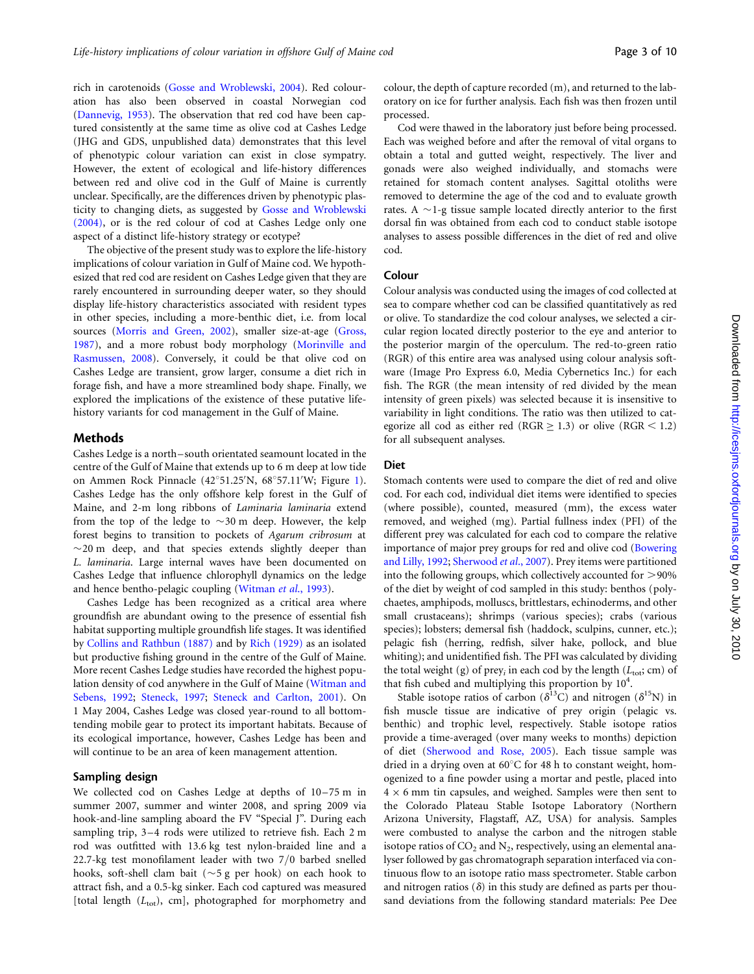rich in carotenoids [\(Gosse and Wroblewski, 2004](#page-8-0)). Red colouration has also been observed in coastal Norwegian cod ([Dannevig, 1953](#page-8-0)). The observation that red cod have been captured consistently at the same time as olive cod at Cashes Ledge (JHG and GDS, unpublished data) demonstrates that this level of phenotypic colour variation can exist in close sympatry. However, the extent of ecological and life-history differences between red and olive cod in the Gulf of Maine is currently unclear. Specifically, are the differences driven by phenotypic plasticity to changing diets, as suggested by [Gosse and Wroblewski](#page-8-0) [\(2004\),](#page-8-0) or is the red colour of cod at Cashes Ledge only one aspect of a distinct life-history strategy or ecotype?

The objective of the present study was to explore the life-history implications of colour variation in Gulf of Maine cod. We hypothesized that red cod are resident on Cashes Ledge given that they are rarely encountered in surrounding deeper water, so they should display life-history characteristics associated with resident types in other species, including a more-benthic diet, i.e. from local sources [\(Morris and Green, 2002\)](#page-9-0), smaller size-at-age ([Gross,](#page-8-0) [1987\)](#page-8-0), and a more robust body morphology [\(Morinville and](#page-9-0) [Rasmussen, 2008\)](#page-9-0). Conversely, it could be that olive cod on Cashes Ledge are transient, grow larger, consume a diet rich in forage fish, and have a more streamlined body shape. Finally, we explored the implications of the existence of these putative lifehistory variants for cod management in the Gulf of Maine.

# Methods

Cashes Ledge is a north – south orientated seamount located in the centre of the Gulf of Maine that extends up to 6 m deep at low tide on Ammen Rock Pinnacle (42°5[1](#page-1-0).25'N, 68°57.11'W; Figure 1). Cashes Ledge has the only offshore kelp forest in the Gulf of Maine, and 2-m long ribbons of Laminaria laminaria extend from the top of the ledge to  $\sim$ 30 m deep. However, the kelp forest begins to transition to pockets of Agarum cribrosum at  $\sim$  20 m deep, and that species extends slightly deeper than L. laminaria. Large internal waves have been documented on Cashes Ledge that influence chlorophyll dynamics on the ledge and hence bentho-pelagic coupling ([Witman](#page-9-0) et al., 1993).

Cashes Ledge has been recognized as a critical area where groundfish are abundant owing to the presence of essential fish habitat supporting multiple groundfish life stages. It was identified by [Collins and Rathbun \(1887\)](#page-8-0) and by [Rich \(1929\)](#page-9-0) as an isolated but productive fishing ground in the centre of the Gulf of Maine. More recent Cashes Ledge studies have recorded the highest population density of cod anywhere in the Gulf of Maine ([Witman and](#page-9-0) [Sebens, 1992](#page-9-0); [Steneck, 1997;](#page-9-0) [Steneck and Carlton, 2001\)](#page-9-0). On 1 May 2004, Cashes Ledge was closed year-round to all bottomtending mobile gear to protect its important habitats. Because of its ecological importance, however, Cashes Ledge has been and will continue to be an area of keen management attention.

#### Sampling design

We collected cod on Cashes Ledge at depths of 10-75 m in summer 2007, summer and winter 2008, and spring 2009 via hook-and-line sampling aboard the FV "Special J". During each sampling trip, 3-4 rods were utilized to retrieve fish. Each 2 m rod was outfitted with 13.6 kg test nylon-braided line and a 22.7-kg test monofilament leader with two 7/0 barbed snelled hooks, soft-shell clam bait  $(\sim 5 \text{ g per hook})$  on each hook to attract fish, and a 0.5-kg sinker. Each cod captured was measured [total length  $(L_{\text{tot}})$ , cm], photographed for morphometry and colour, the depth of capture recorded (m), and returned to the laboratory on ice for further analysis. Each fish was then frozen until processed.

Cod were thawed in the laboratory just before being processed. Each was weighed before and after the removal of vital organs to obtain a total and gutted weight, respectively. The liver and gonads were also weighed individually, and stomachs were retained for stomach content analyses. Sagittal otoliths were removed to determine the age of the cod and to evaluate growth rates. A  $\sim$ 1-g tissue sample located directly anterior to the first dorsal fin was obtained from each cod to conduct stable isotope analyses to assess possible differences in the diet of red and olive cod.

# Colour

Colour analysis was conducted using the images of cod collected at sea to compare whether cod can be classified quantitatively as red or olive. To standardize the cod colour analyses, we selected a circular region located directly posterior to the eye and anterior to the posterior margin of the operculum. The red-to-green ratio (RGR) of this entire area was analysed using colour analysis software (Image Pro Express 6.0, Media Cybernetics Inc.) for each fish. The RGR (the mean intensity of red divided by the mean intensity of green pixels) was selected because it is insensitive to variability in light conditions. The ratio was then utilized to categorize all cod as either red ( $RGR \ge 1.3$ ) or olive ( $RGR \le 1.2$ ) for all subsequent analyses.

#### Diet

Stomach contents were used to compare the diet of red and olive cod. For each cod, individual diet items were identified to species (where possible), counted, measured (mm), the excess water removed, and weighed (mg). Partial fullness index (PFI) of the different prey was calculated for each cod to compare the relative importance of major prey groups for red and olive cod ([Bowering](#page-8-0) [and Lilly, 1992;](#page-8-0) [Sherwood](#page-9-0) et al., 2007). Prey items were partitioned into the following groups, which collectively accounted for  $>90\%$ of the diet by weight of cod sampled in this study: benthos (polychaetes, amphipods, molluscs, brittlestars, echinoderms, and other small crustaceans); shrimps (various species); crabs (various species); lobsters; demersal fish (haddock, sculpins, cunner, etc.); pelagic fish (herring, redfish, silver hake, pollock, and blue whiting); and unidentified fish. The PFI was calculated by dividing the total weight (g) of prey<sub>i</sub> in each cod by the length ( $L_{\text{tot}}$ ; cm) of that fish cubed and multiplying this proportion by  $10^4$ .

Stable isotope ratios of carbon ( $\delta^{13}$ C) and nitrogen ( $\delta^{15}$ N) in fish muscle tissue are indicative of prey origin (pelagic vs. benthic) and trophic level, respectively. Stable isotope ratios provide a time-averaged (over many weeks to months) depiction of diet ([Sherwood and Rose, 2005](#page-9-0)). Each tissue sample was dried in a drying oven at  $60^{\circ}$ C for 48 h to constant weight, homogenized to a fine powder using a mortar and pestle, placed into  $4 \times 6$  mm tin capsules, and weighed. Samples were then sent to the Colorado Plateau Stable Isotope Laboratory (Northern Arizona University, Flagstaff, AZ, USA) for analysis. Samples were combusted to analyse the carbon and the nitrogen stable isotope ratios of  $CO<sub>2</sub>$  and  $N<sub>2</sub>$ , respectively, using an elemental analyser followed by gas chromatograph separation interfaced via continuous flow to an isotope ratio mass spectrometer. Stable carbon and nitrogen ratios  $(\delta)$  in this study are defined as parts per thousand deviations from the following standard materials: Pee Dee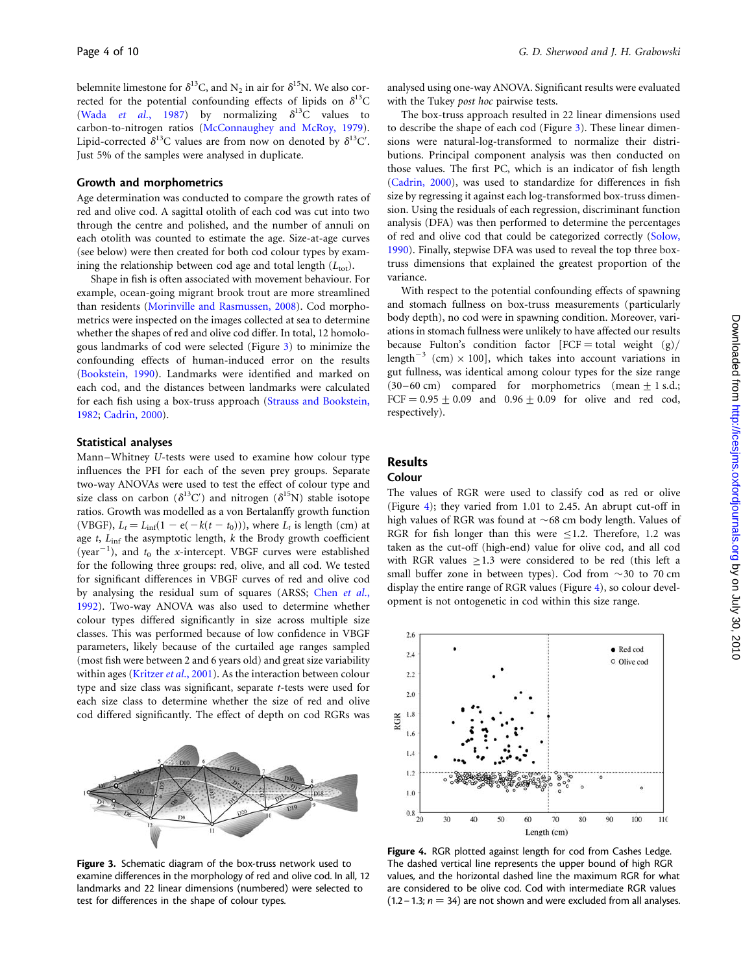<span id="page-3-0"></span>belemnite limestone for  $\delta^{13}C$ , and  $N_2$  in air for  $\delta^{15}N$ . We also corrected for the potential confounding effects of lipids on  $\delta^{13}$ C (Wada et al[., 1987\)](#page-9-0) by normalizing  $\delta^{13}$ C values to carbon-to-nitrogen ratios [\(McConnaughey and McRoy, 1979\)](#page-8-0). Lipid-corrected  $\delta^{13}C$  values are from now on denoted by  $\delta^{13}C'$ . Just 5% of the samples were analysed in duplicate.

## Growth and morphometrics

Age determination was conducted to compare the growth rates of red and olive cod. A sagittal otolith of each cod was cut into two through the centre and polished, and the number of annuli on each otolith was counted to estimate the age. Size-at-age curves (see below) were then created for both cod colour types by examining the relationship between cod age and total length  $(L_{\text{tot}})$ .

Shape in fish is often associated with movement behaviour. For example, ocean-going migrant brook trout are more streamlined than residents [\(Morinville and Rasmussen, 2008\)](#page-9-0). Cod morphometrics were inspected on the images collected at sea to determine whether the shapes of red and olive cod differ. In total, 12 homologous landmarks of cod were selected (Figure 3) to minimize the confounding effects of human-induced error on the results ([Bookstein, 1990\)](#page-8-0). Landmarks were identified and marked on each cod, and the distances between landmarks were calculated for each fish using a box-truss approach [\(Strauss and Bookstein,](#page-9-0) [1982;](#page-9-0) [Cadrin, 2000\)](#page-8-0).

# Statistical analyses

Mann–Whitney U-tests were used to examine how colour type influences the PFI for each of the seven prey groups. Separate two-way ANOVAs were used to test the effect of colour type and size class on carbon ( $\delta^{13}$ C') and nitrogen ( $\delta^{15}$ N) stable isotope ratios. Growth was modelled as a von Bertalanffy growth function (VBGF),  $L_t = L_{\text{inf}}(1 - e(-k(t - t_0))),$  where  $L_t$  is length (cm) at age t,  $L_{\text{inf}}$  the asymptotic length, k the Brody growth coefficient (year<sup>-1</sup>), and  $t_0$  the x-intercept. VBGF curves were established for the following three groups: red, olive, and all cod. We tested for significant differences in VBGF curves of red and olive cod by analysing the residual sum of squares (ARSS; [Chen](#page-8-0) et al., [1992\)](#page-8-0). Two-way ANOVA was also used to determine whether colour types differed significantly in size across multiple size classes. This was performed because of low confidence in VBGF parameters, likely because of the curtailed age ranges sampled (most fish were between 2 and 6 years old) and great size variability within ages ([Kritzer](#page-8-0) et al., 2001). As the interaction between colour type and size class was significant, separate t-tests were used for each size class to determine whether the size of red and olive cod differed significantly. The effect of depth on cod RGRs was



Figure 3. Schematic diagram of the box-truss network used to examine differences in the morphology of red and olive cod. In all, 12 landmarks and 22 linear dimensions (numbered) were selected to test for differences in the shape of colour types.

analysed using one-way ANOVA. Significant results were evaluated with the Tukey post hoc pairwise tests.

The box-truss approach resulted in 22 linear dimensions used to describe the shape of each cod (Figure 3). These linear dimensions were natural-log-transformed to normalize their distributions. Principal component analysis was then conducted on those values. The first PC, which is an indicator of fish length [\(Cadrin, 2000\)](#page-8-0), was used to standardize for differences in fish size by regressing it against each log-transformed box-truss dimension. Using the residuals of each regression, discriminant function analysis (DFA) was then performed to determine the percentages of red and olive cod that could be categorized correctly ([Solow,](#page-9-0) [1990\)](#page-9-0). Finally, stepwise DFA was used to reveal the top three boxtruss dimensions that explained the greatest proportion of the variance.

With respect to the potential confounding effects of spawning and stomach fullness on box-truss measurements (particularly body depth), no cod were in spawning condition. Moreover, variations in stomach fullness were unlikely to have affected our results because Fulton's condition factor  $[FCF = total weight (g) /$ length<sup>-3</sup> (cm)  $\times$  100], which takes into account variations in gut fullness, was identical among colour types for the size range  $(30-60 \text{ cm})$  compared for morphometrics (mean  $\pm$  1 s.d.;  $FCF = 0.95 + 0.09$  and  $0.96 + 0.09$  for olive and red cod, respectively).

# Results

### Colour

The values of RGR were used to classify cod as red or olive (Figure 4); they varied from 1.01 to 2.45. An abrupt cut-off in high values of RGR was found at  $\sim$  68 cm body length. Values of RGR for fish longer than this were  $\leq$ 1.2. Therefore, 1.2 was taken as the cut-off (high-end) value for olive cod, and all cod with RGR values  $\geq$ 1.3 were considered to be red (this left a small buffer zone in between types). Cod from  $\sim$  30 to 70 cm display the entire range of RGR values (Figure 4), so colour development is not ontogenetic in cod within this size range.



Figure 4. RGR plotted against length for cod from Cashes Ledge. The dashed vertical line represents the upper bound of high RGR values, and the horizontal dashed line the maximum RGR for what are considered to be olive cod. Cod with intermediate RGR values  $(1.2 – 1.3; n = 34)$  are not shown and were excluded from all analyses.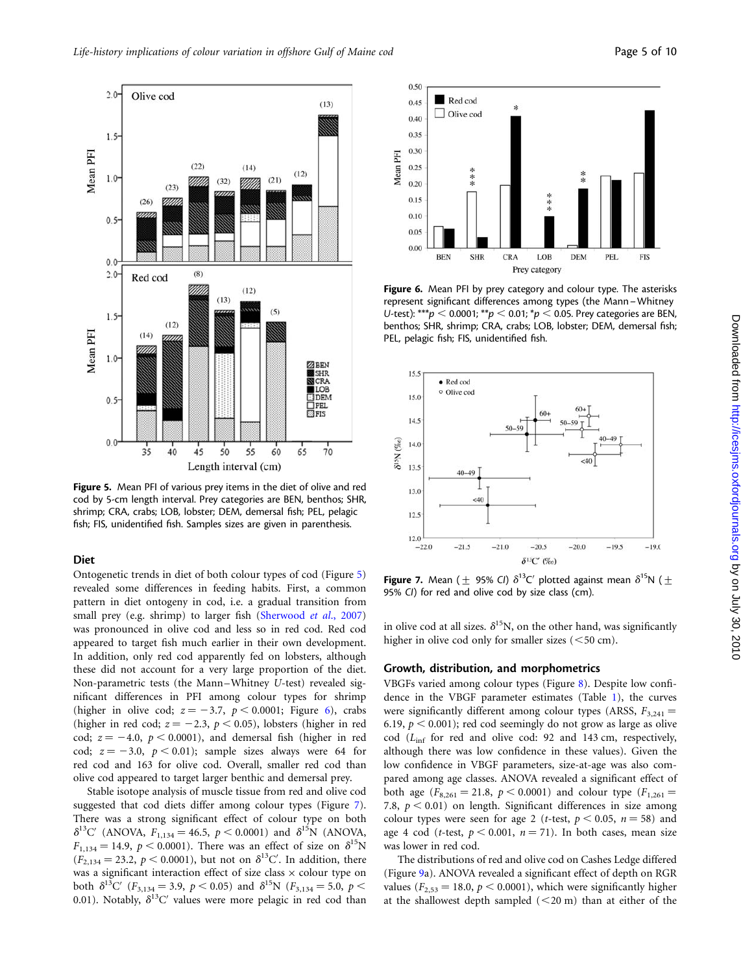<span id="page-4-0"></span>

Figure 5. Mean PFI of various prey items in the diet of olive and red cod by 5-cm length interval. Prey categories are BEN, benthos; SHR, shrimp; CRA, crabs; LOB, lobster; DEM, demersal fish; PEL, pelagic fish; FIS, unidentified fish. Samples sizes are given in parenthesis.

# Diet

Ontogenetic trends in diet of both colour types of cod (Figure 5) revealed some differences in feeding habits. First, a common pattern in diet ontogeny in cod, i.e. a gradual transition from small prey (e.g. shrimp) to larger fish ([Sherwood](#page-9-0) et al., 2007) was pronounced in olive cod and less so in red cod. Red cod appeared to target fish much earlier in their own development. In addition, only red cod apparently fed on lobsters, although these did not account for a very large proportion of the diet. Non-parametric tests (the Mann-Whitney U-test) revealed significant differences in PFI among colour types for shrimp (higher in olive cod;  $z = -3.7$ ,  $p < 0.0001$ ; Figure 6), crabs (higher in red cod;  $z = -2.3$ ,  $p < 0.05$ ), lobsters (higher in red cod;  $z = -4.0$ ,  $p < 0.0001$ ), and demersal fish (higher in red cod;  $z = -3.0$ ,  $p < 0.01$ ); sample sizes always were 64 for red cod and 163 for olive cod. Overall, smaller red cod than olive cod appeared to target larger benthic and demersal prey.

Stable isotope analysis of muscle tissue from red and olive cod suggested that cod diets differ among colour types (Figure 7). There was a strong significant effect of colour type on both  $\delta^{13}$ C' (ANOVA,  $F_{1,134} = 46.5, p < 0.0001$ ) and  $\delta^{15}$ N (ANOVA,  $F_{1,134} = 14.9, p < 0.0001$ ). There was an effect of size on  $\delta^{15}N$  $(F_{2,134} = 23.2, p < 0.0001)$ , but not on  $\delta^{13}C'$ . In addition, there was a significant interaction effect of size class  $\times$  colour type on both  $\delta^{13}C'$  ( $F_{3,134} = 3.9$ ,  $p < 0.05$ ) and  $\delta^{15}N$  ( $F_{3,134} = 5.0$ ,  $p <$ 0.01). Notably,  $\delta^{13}C'$  values were more pelagic in red cod than



Figure 6. Mean PFI by prey category and colour type. The asterisks represent significant differences among types (the Mann–Whitney U-test): \*\*\* $p < 0.0001$ ; \*\* $p < 0.01$ ; \* $p < 0.05$ . Prey categories are BEN, benthos; SHR, shrimp; CRA, crabs; LOB, lobster; DEM, demersal fish; PEL, pelagic fish; FIS, unidentified fish.



**Figure 7.** Mean ( $\pm$  95% CI)  $\delta^{13}$ C' plotted against mean  $\delta^{15}$ N ( $\pm$ 95% CI) for red and olive cod by size class (cm).

in olive cod at all sizes.  $\delta^{15}N$ , on the other hand, was significantly higher in olive cod only for smaller sizes  $(<50$  cm).

#### Growth, distribution, and morphometrics

VBGFs varied among colour types (Figure 8). Despite low confidence in the VBGF parameter estimates (Table [1](#page-5-0)), the curves were significantly different among colour types (ARSS,  $F_{3,241}$  = 6.19,  $p < 0.001$ ); red cod seemingly do not grow as large as olive cod (Linf for red and olive cod: 92 and 143 cm, respectively, although there was low confidence in these values). Given the low confidence in VBGF parameters, size-at-age was also compared among age classes. ANOVA revealed a significant effect of both age ( $F_{8,261} = 21.8$ ,  $p < 0.0001$ ) and colour type ( $F_{1,261} =$ 7.8,  $p < 0.01$ ) on length. Significant differences in size among colour types were seen for age 2 (*t*-test,  $p < 0.05$ ,  $n = 58$ ) and age 4 cod (t-test,  $p < 0.001$ ,  $n = 71$ ). In both cases, mean size was lower in red cod.

The distributions of red and olive cod on Cashes Ledge differed (Figure [9a](#page-5-0)). ANOVA revealed a significant effect of depth on RGR values ( $F_{2,53}$  = 18.0,  $p$  < 0.0001), which were significantly higher at the shallowest depth sampled  $(<20 \text{ m})$  than at either of the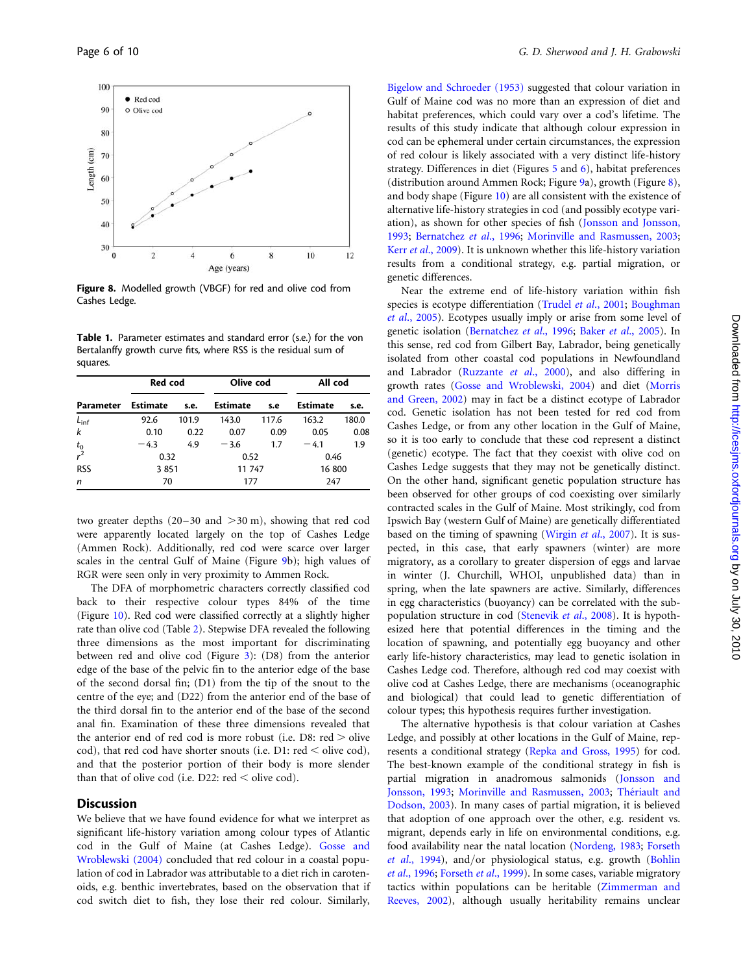<span id="page-5-0"></span>

Figure 8. Modelled growth (VBGF) for red and olive cod from Cashes Ledge.

Table 1. Parameter estimates and standard error (s.e.) for the von Bertalanffy growth curve fits, where RSS is the residual sum of squares.

|                   | Red cod         |       | Olive cod       |       | All cod         |       |
|-------------------|-----------------|-------|-----------------|-------|-----------------|-------|
| <b>Parameter</b>  | <b>Estimate</b> | s.e.  | <b>Estimate</b> | s.e   | <b>Estimate</b> | s.e.  |
| $L_{\text{inf}}$  | 92.6            | 101.9 | 143.0           | 117.6 | 163.2           | 180.0 |
| k                 | 0.10            | 0.22  | 0.07            | 0.09  | 0.05            | 0.08  |
|                   | $-4.3$          | 4.9   | $-3.6$          | 1.7   | $-4.1$          | 1.9   |
| $\frac{t_0}{r^2}$ | 0.32            |       | 0.52            |       | 0.46            |       |
| <b>RSS</b>        | 3851            |       | 11747           |       | 16 800          |       |
| n                 | 70              |       | 177             |       | 247             |       |

two greater depths  $(20-30 \text{ and } >30 \text{ m})$ , showing that red cod were apparently located largely on the top of Cashes Ledge (Ammen Rock). Additionally, red cod were scarce over larger scales in the central Gulf of Maine (Figure 9b); high values of RGR were seen only in very proximity to Ammen Rock.

The DFA of morphometric characters correctly classified cod back to their respective colour types 84% of the time (Figure 10). Red cod were classified correctly at a slightly higher rate than olive cod (Table [2](#page-7-0)). Stepwise DFA revealed the following three dimensions as the most important for discriminating between red and olive cod (Figure [3\)](#page-3-0): (D8) from the anterior edge of the base of the pelvic fin to the anterior edge of the base of the second dorsal fin; (D1) from the tip of the snout to the centre of the eye; and (D22) from the anterior end of the base of the third dorsal fin to the anterior end of the base of the second anal fin. Examination of these three dimensions revealed that the anterior end of red cod is more robust (i.e.  $D8$ : red  $>$  olive cod), that red cod have shorter snouts (i.e. D1:  $red <$  olive cod), and that the posterior portion of their body is more slender than that of olive cod (i.e. D22:  $red <$  olive cod).

## **Discussion**

We believe that we have found evidence for what we interpret as significant life-history variation among colour types of Atlantic cod in the Gulf of Maine (at Cashes Ledge). [Gosse and](#page-8-0) [Wroblewski \(2004\)](#page-8-0) concluded that red colour in a coastal population of cod in Labrador was attributable to a diet rich in carotenoids, e.g. benthic invertebrates, based on the observation that if cod switch diet to fish, they lose their red colour. Similarly, [Bigelow and Schroeder \(1953\)](#page-8-0) suggested that colour variation in Gulf of Maine cod was no more than an expression of diet and habitat preferences, which could vary over a cod's lifetime. The results of this study indicate that although colour expression in cod can be ephemeral under certain circumstances, the expression of red colour is likely associated with a very distinct life-history strategy. Differences in diet (Figures [5](#page-4-0) and [6](#page-4-0)), habitat preferences (distribution around Ammen Rock; Figure 9a), growth (Figure [8](#page-4-0)), and body shape (Figure 10) are all consistent with the existence of alternative life-history strategies in cod (and possibly ecotype variation), as shown for other species of fish [\(Jonsson and Jonsson,](#page-8-0) [1993;](#page-8-0) [Bernatchez](#page-8-0) et al., 1996; [Morinville and Rasmussen, 2003;](#page-9-0) Kerr et al[., 2009\)](#page-8-0). It is unknown whether this life-history variation results from a conditional strategy, e.g. partial migration, or genetic differences.

Near the extreme end of life-history variation within fish species is ecotype differentiation (Trudel et al[., 2001;](#page-9-0) [Boughman](#page-8-0) et al[., 2005](#page-8-0)). Ecotypes usually imply or arise from some level of genetic isolation [\(Bernatchez](#page-8-0) et al., 1996; Baker et al[., 2005](#page-8-0)). In this sense, red cod from Gilbert Bay, Labrador, being genetically isolated from other coastal cod populations in Newfoundland and Labrador ([Ruzzante](#page-9-0) et al., 2000), and also differing in growth rates ([Gosse and Wroblewski, 2004\)](#page-8-0) and diet [\(Morris](#page-9-0) [and Green, 2002](#page-9-0)) may in fact be a distinct ecotype of Labrador cod. Genetic isolation has not been tested for red cod from Cashes Ledge, or from any other location in the Gulf of Maine, so it is too early to conclude that these cod represent a distinct (genetic) ecotype. The fact that they coexist with olive cod on Cashes Ledge suggests that they may not be genetically distinct. On the other hand, significant genetic population structure has been observed for other groups of cod coexisting over similarly contracted scales in the Gulf of Maine. Most strikingly, cod from Ipswich Bay (western Gulf of Maine) are genetically differentiated based on the timing of spawning [\(Wirgin](#page-9-0) et al., 2007). It is suspected, in this case, that early spawners (winter) are more migratory, as a corollary to greater dispersion of eggs and larvae in winter (J. Churchill, WHOI, unpublished data) than in spring, when the late spawners are active. Similarly, differences in egg characteristics (buoyancy) can be correlated with the subpopulation structure in cod [\(Stenevik](#page-9-0) et al., 2008). It is hypothesized here that potential differences in the timing and the location of spawning, and potentially egg buoyancy and other early life-history characteristics, may lead to genetic isolation in Cashes Ledge cod. Therefore, although red cod may coexist with olive cod at Cashes Ledge, there are mechanisms (oceanographic and biological) that could lead to genetic differentiation of colour types; this hypothesis requires further investigation.

The alternative hypothesis is that colour variation at Cashes Ledge, and possibly at other locations in the Gulf of Maine, represents a conditional strategy ([Repka and Gross, 1995](#page-9-0)) for cod. The best-known example of the conditional strategy in fish is partial migration in anadromous salmonids [\(Jonsson and](#page-8-0) [Jonsson, 1993;](#page-8-0) [Morinville and Rasmussen, 2003](#page-9-0); Thériault and [Dodson, 2003\)](#page-9-0). In many cases of partial migration, it is believed that adoption of one approach over the other, e.g. resident vs. migrant, depends early in life on environmental conditions, e.g. food availability near the natal location [\(Nordeng, 1983;](#page-9-0) [Forseth](#page-8-0) et al[., 1994](#page-8-0)), and/or physiological status, e.g. growth [\(Bohlin](#page-8-0) et al[., 1996](#page-8-0); [Forseth](#page-8-0) et al., 1999). In some cases, variable migratory tactics within populations can be heritable [\(Zimmerman and](#page-9-0) [Reeves, 2002](#page-9-0)), although usually heritability remains unclear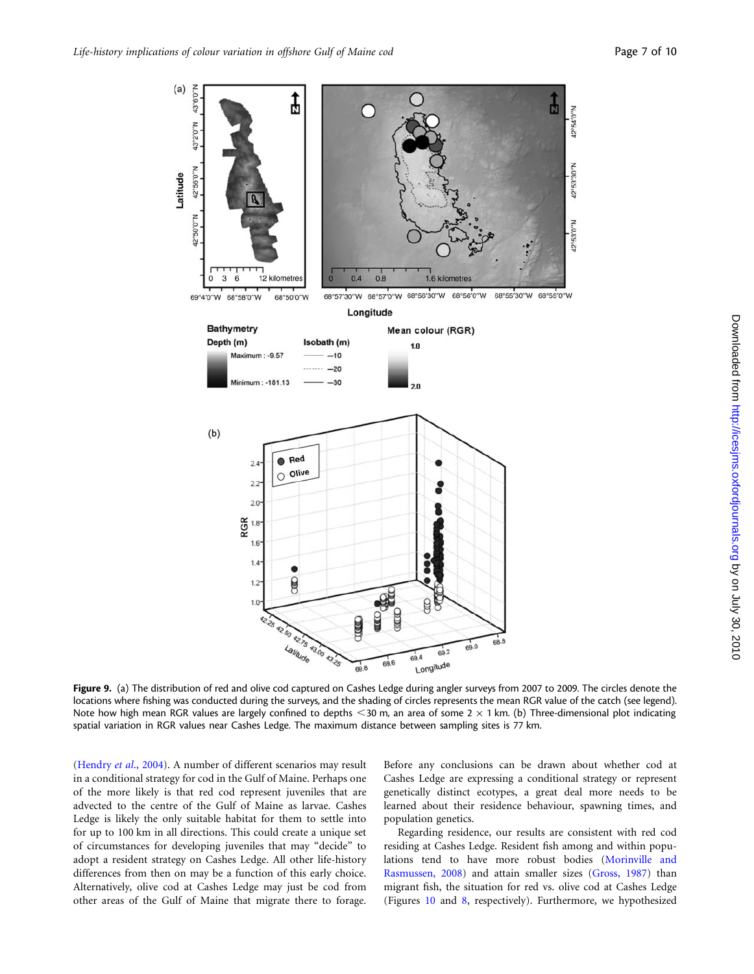

Figure 9. (a) The distribution of red and olive cod captured on Cashes Ledge during angler surveys from 2007 to 2009. The circles denote the locations where fishing was conducted during the surveys, and the shading of circles represents the mean RGR value of the catch (see legend). Note how high mean RGR values are largely confined to depths <30 m, an area of some  $2 \times 1$  km. (b) Three-dimensional plot indicating spatial variation in RGR values near Cashes Ledge. The maximum distance between sampling sites is 77 km.

([Hendry](#page-8-0) et al., 2004). A number of different scenarios may result in a conditional strategy for cod in the Gulf of Maine. Perhaps one of the more likely is that red cod represent juveniles that are advected to the centre of the Gulf of Maine as larvae. Cashes Ledge is likely the only suitable habitat for them to settle into for up to 100 km in all directions. This could create a unique set of circumstances for developing juveniles that may "decide" to adopt a resident strategy on Cashes Ledge. All other life-history differences from then on may be a function of this early choice. Alternatively, olive cod at Cashes Ledge may just be cod from other areas of the Gulf of Maine that migrate there to forage.

Before any conclusions can be drawn about whether cod at Cashes Ledge are expressing a conditional strategy or represent genetically distinct ecotypes, a great deal more needs to be learned about their residence behaviour, spawning times, and population genetics.

Regarding residence, our results are consistent with red cod residing at Cashes Ledge. Resident fish among and within populations tend to have more robust bodies ([Morinville and](#page-9-0) [Rasmussen, 2008\)](#page-9-0) and attain smaller sizes [\(Gross, 1987\)](#page-8-0) than migrant fish, the situation for red vs. olive cod at Cashes Ledge (Figures [10](#page-5-0) and [8,](#page-4-0) respectively). Furthermore, we hypothesized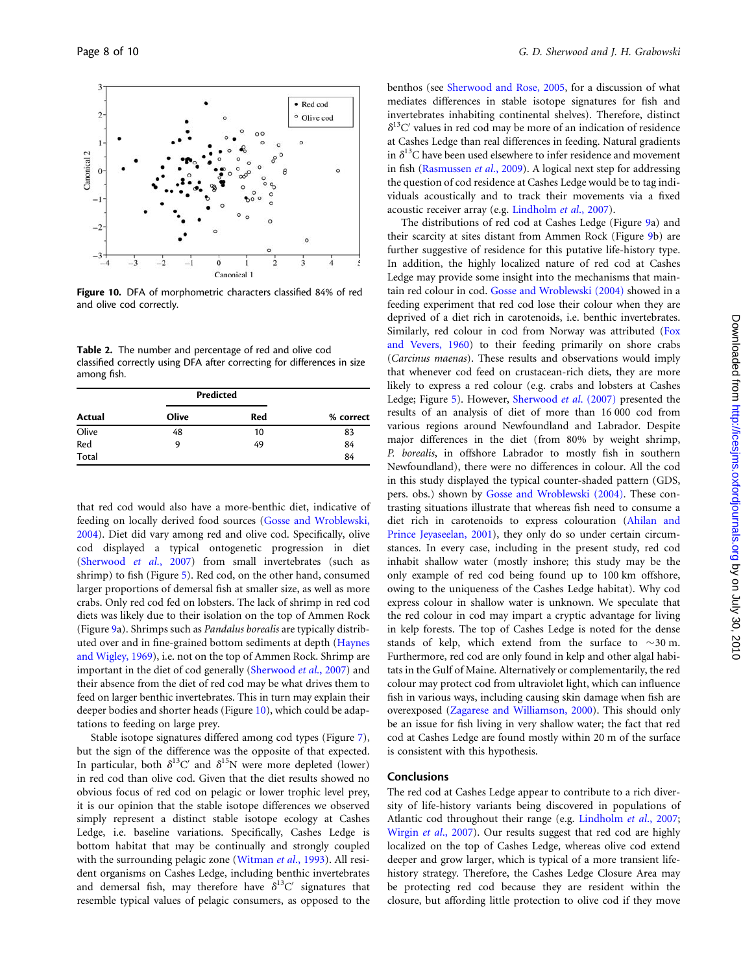<span id="page-7-0"></span>

Figure 10. DFA of morphometric characters classified 84% of red and olive cod correctly.

Table 2. The number and percentage of red and olive cod classified correctly using DFA after correcting for differences in size among fish.

|        | Predicted |     |           |
|--------|-----------|-----|-----------|
| Actual | Olive     | Red | % correct |
| Olive  | 48        | 10  | 83        |
| Red    | 9         | 49  | 84        |
| Total  |           |     | 84        |

that red cod would also have a more-benthic diet, indicative of feeding on locally derived food sources ([Gosse and Wroblewski,](#page-8-0) [2004\)](#page-8-0). Diet did vary among red and olive cod. Specifically, olive cod displayed a typical ontogenetic progression in diet ([Sherwood](#page-9-0) et al., 2007) from small invertebrates (such as shrimp) to fish (Figure [5\)](#page-4-0). Red cod, on the other hand, consumed larger proportions of demersal fish at smaller size, as well as more crabs. Only red cod fed on lobsters. The lack of shrimp in red cod diets was likely due to their isolation on the top of Ammen Rock (Figure [9a](#page-5-0)). Shrimps such as Pandalus borealis are typically distributed over and in fine-grained bottom sediments at depth ([Haynes](#page-8-0) [and Wigley, 1969\)](#page-8-0), i.e. not on the top of Ammen Rock. Shrimp are important in the diet of cod generally ([Sherwood](#page-9-0) et al., 2007) and their absence from the diet of red cod may be what drives them to feed on larger benthic invertebrates. This in turn may explain their deeper bodies and shorter heads (Figure [10](#page-5-0)), which could be adaptations to feeding on large prey.

Stable isotope signatures differed among cod types (Figure [7\)](#page-4-0), but the sign of the difference was the opposite of that expected. In particular, both  $\delta^{13}C'$  and  $\delta^{15}N$  were more depleted (lower) in red cod than olive cod. Given that the diet results showed no obvious focus of red cod on pelagic or lower trophic level prey, it is our opinion that the stable isotope differences we observed simply represent a distinct stable isotope ecology at Cashes Ledge, i.e. baseline variations. Specifically, Cashes Ledge is bottom habitat that may be continually and strongly coupled with the surrounding pelagic zone [\(Witman](#page-9-0) et al., 1993). All resident organisms on Cashes Ledge, including benthic invertebrates and demersal fish, may therefore have  $\delta^{13}C'$  signatures that resemble typical values of pelagic consumers, as opposed to the

benthos (see [Sherwood and Rose, 2005,](#page-9-0) for a discussion of what mediates differences in stable isotope signatures for fish and invertebrates inhabiting continental shelves). Therefore, distinct  $\delta^{13}$ C' values in red cod may be more of an indication of residence at Cashes Ledge than real differences in feeding. Natural gradients in  $\delta^{13}$ C have been used elsewhere to infer residence and movement in fish [\(Rasmussen](#page-9-0) et al., 2009). A logical next step for addressing the question of cod residence at Cashes Ledge would be to tag individuals acoustically and to track their movements via a fixed acoustic receiver array (e.g. [Lindholm](#page-8-0) et al., 2007).

The distributions of red cod at Cashes Ledge (Figure [9a](#page-5-0)) and their scarcity at sites distant from Ammen Rock (Figure [9b](#page-5-0)) are further suggestive of residence for this putative life-history type. In addition, the highly localized nature of red cod at Cashes Ledge may provide some insight into the mechanisms that maintain red colour in cod. [Gosse and Wroblewski \(2004\)](#page-8-0) showed in a feeding experiment that red cod lose their colour when they are deprived of a diet rich in carotenoids, i.e. benthic invertebrates. Similarly, red colour in cod from Norway was attributed [\(Fox](#page-8-0) [and Vevers, 1960](#page-8-0)) to their feeding primarily on shore crabs (Carcinus maenas). These results and observations would imply that whenever cod feed on crustacean-rich diets, they are more likely to express a red colour (e.g. crabs and lobsters at Cashes Ledge; Figure [5](#page-4-0)). However, [Sherwood](#page-9-0) et al. (2007) presented the results of an analysis of diet of more than 16 000 cod from various regions around Newfoundland and Labrador. Despite major differences in the diet (from 80% by weight shrimp, P. borealis, in offshore Labrador to mostly fish in southern Newfoundland), there were no differences in colour. All the cod in this study displayed the typical counter-shaded pattern (GDS, pers. obs.) shown by [Gosse and Wroblewski \(2004\)](#page-8-0). These contrasting situations illustrate that whereas fish need to consume a diet rich in carotenoids to express colouration ([Ahilan and](#page-8-0) [Prince Jeyaseelan, 2001](#page-8-0)), they only do so under certain circumstances. In every case, including in the present study, red cod inhabit shallow water (mostly inshore; this study may be the only example of red cod being found up to 100 km offshore, owing to the uniqueness of the Cashes Ledge habitat). Why cod express colour in shallow water is unknown. We speculate that the red colour in cod may impart a cryptic advantage for living in kelp forests. The top of Cashes Ledge is noted for the dense stands of kelp, which extend from the surface to  $\sim$ 30 m. Furthermore, red cod are only found in kelp and other algal habitats in the Gulf of Maine. Alternatively or complementarily, the red colour may protect cod from ultraviolet light, which can influence fish in various ways, including causing skin damage when fish are overexposed ([Zagarese and Williamson, 2000](#page-9-0)). This should only be an issue for fish living in very shallow water; the fact that red cod at Cashes Ledge are found mostly within 20 m of the surface is consistent with this hypothesis.

# Conclusions

The red cod at Cashes Ledge appear to contribute to a rich diversity of life-history variants being discovered in populations of Atlantic cod throughout their range (e.g. [Lindholm](#page-8-0) et al., 2007; [Wirgin](#page-9-0) et al., 2007). Our results suggest that red cod are highly localized on the top of Cashes Ledge, whereas olive cod extend deeper and grow larger, which is typical of a more transient lifehistory strategy. Therefore, the Cashes Ledge Closure Area may be protecting red cod because they are resident within the closure, but affording little protection to olive cod if they move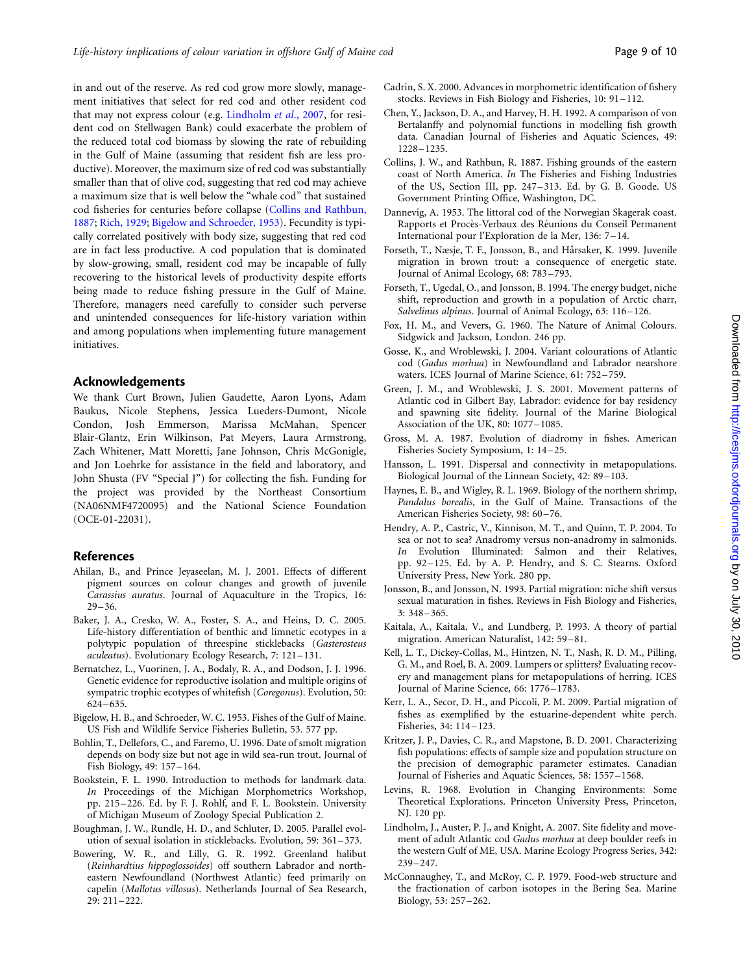<span id="page-8-0"></span>in and out of the reserve. As red cod grow more slowly, management initiatives that select for red cod and other resident cod that may not express colour (e.g. Lindholm et al., 2007, for resident cod on Stellwagen Bank) could exacerbate the problem of the reduced total cod biomass by slowing the rate of rebuilding in the Gulf of Maine (assuming that resident fish are less productive). Moreover, the maximum size of red cod was substantially smaller than that of olive cod, suggesting that red cod may achieve a maximum size that is well below the "whale cod" that sustained cod fisheries for centuries before collapse (Collins and Rathbun, 1887; [Rich, 1929](#page-9-0); Bigelow and Schroeder, 1953). Fecundity is typically correlated positively with body size, suggesting that red cod are in fact less productive. A cod population that is dominated by slow-growing, small, resident cod may be incapable of fully recovering to the historical levels of productivity despite efforts being made to reduce fishing pressure in the Gulf of Maine. Therefore, managers need carefully to consider such perverse and unintended consequences for life-history variation within and among populations when implementing future management initiatives.

# Acknowledgements

We thank Curt Brown, Julien Gaudette, Aaron Lyons, Adam Baukus, Nicole Stephens, Jessica Lueders-Dumont, Nicole Condon, Josh Emmerson, Marissa McMahan, Spencer Blair-Glantz, Erin Wilkinson, Pat Meyers, Laura Armstrong, Zach Whitener, Matt Moretti, Jane Johnson, Chris McGonigle, and Jon Loehrke for assistance in the field and laboratory, and John Shusta (FV "Special J") for collecting the fish. Funding for the project was provided by the Northeast Consortium (NA06NMF4720095) and the National Science Foundation (OCE-01-22031).

# References

- Ahilan, B., and Prince Jeyaseelan, M. J. 2001. Effects of different pigment sources on colour changes and growth of juvenile Carassius auratus. Journal of Aquaculture in the Tropics, 16:  $29 - 36.$
- Baker, J. A., Cresko, W. A., Foster, S. A., and Heins, D. C. 2005. Life-history differentiation of benthic and limnetic ecotypes in a polytypic population of threespine sticklebacks (Gasterosteus aculeatus). Evolutionary Ecology Research, 7: 121 –131.
- Bernatchez, L., Vuorinen, J. A., Bodaly, R. A., and Dodson, J. J. 1996. Genetic evidence for reproductive isolation and multiple origins of sympatric trophic ecotypes of whitefish (Coregonus). Evolution, 50: 624–635.
- Bigelow, H. B., and Schroeder, W. C. 1953. Fishes of the Gulf of Maine. US Fish and Wildlife Service Fisheries Bulletin, 53. 577 pp.
- Bohlin, T., Dellefors, C., and Faremo, U. 1996. Date of smolt migration depends on body size but not age in wild sea-run trout. Journal of Fish Biology, 49: 157–164.
- Bookstein, F. L. 1990. Introduction to methods for landmark data. In Proceedings of the Michigan Morphometrics Workshop, pp. 215 –226. Ed. by F. J. Rohlf, and F. L. Bookstein. University of Michigan Museum of Zoology Special Publication 2.
- Boughman, J. W., Rundle, H. D., and Schluter, D. 2005. Parallel evolution of sexual isolation in sticklebacks. Evolution, 59: 361–373.
- Bowering, W. R., and Lilly, G. R. 1992. Greenland halibut (Reinhardtius hippoglossoides) off southern Labrador and northeastern Newfoundland (Northwest Atlantic) feed primarily on capelin (Mallotus villosus). Netherlands Journal of Sea Research, 29: 211–222.
- Cadrin, S. X. 2000. Advances in morphometric identification of fishery stocks. Reviews in Fish Biology and Fisheries, 10: 91-112.
- Chen, Y., Jackson, D. A., and Harvey, H. H. 1992. A comparison of von Bertalanffy and polynomial functions in modelling fish growth data. Canadian Journal of Fisheries and Aquatic Sciences, 49: 1228–1235.
- Collins, J. W., and Rathbun, R. 1887. Fishing grounds of the eastern coast of North America. In The Fisheries and Fishing Industries of the US, Section III, pp. 247 –313. Ed. by G. B. Goode. US Government Printing Office, Washington, DC.
- Dannevig, A. 1953. The littoral cod of the Norwegian Skagerak coast. Rapports et Procès-Verbaux des Réunions du Conseil Permanent International pour l'Exploration de la Mer, 136: 7-14.
- Forseth, T., Næsje, T. F., Jonsson, B., and Hårsaker, K. 1999. Juvenile migration in brown trout: a consequence of energetic state. Journal of Animal Ecology, 68: 783 –793.
- Forseth, T., Ugedal, O., and Jonsson, B. 1994. The energy budget, niche shift, reproduction and growth in a population of Arctic charr, Salvelinus alpinus. Journal of Animal Ecology, 63: 116–126.
- Fox, H. M., and Vevers, G. 1960. The Nature of Animal Colours. Sidgwick and Jackson, London. 246 pp.
- Gosse, K., and Wroblewski, J. 2004. Variant colourations of Atlantic cod (Gadus morhua) in Newfoundland and Labrador nearshore waters. ICES Journal of Marine Science, 61: 752–759.
- Green, J. M., and Wroblewski, J. S. 2001. Movement patterns of Atlantic cod in Gilbert Bay, Labrador: evidence for bay residency and spawning site fidelity. Journal of the Marine Biological Association of the UK, 80: 1077 –1085.
- Gross, M. A. 1987. Evolution of diadromy in fishes. American Fisheries Society Symposium, 1: 14 –25.
- Hansson, L. 1991. Dispersal and connectivity in metapopulations. Biological Journal of the Linnean Society, 42: 89-103.
- Haynes, E. B., and Wigley, R. L. 1969. Biology of the northern shrimp, Pandalus borealis, in the Gulf of Maine. Transactions of the American Fisheries Society, 98: 60-76.
- Hendry, A. P., Castric, V., Kinnison, M. T., and Quinn, T. P. 2004. To sea or not to sea? Anadromy versus non-anadromy in salmonids. In Evolution Illuminated: Salmon and their Relatives, pp. 92 –125. Ed. by A. P. Hendry, and S. C. Stearns. Oxford University Press, New York. 280 pp.
- Jonsson, B., and Jonsson, N. 1993. Partial migration: niche shift versus sexual maturation in fishes. Reviews in Fish Biology and Fisheries, 3: 348–365.
- Kaitala, A., Kaitala, V., and Lundberg, P. 1993. A theory of partial migration. American Naturalist, 142: 59 –81.
- Kell, L. T., Dickey-Collas, M., Hintzen, N. T., Nash, R. D. M., Pilling, G. M., and Roel, B. A. 2009. Lumpers or splitters? Evaluating recovery and management plans for metapopulations of herring. ICES Journal of Marine Science, 66: 1776 –1783.
- Kerr, L. A., Secor, D. H., and Piccoli, P. M. 2009. Partial migration of fishes as exemplified by the estuarine-dependent white perch. Fisheries, 34: 114 –123.
- Kritzer, J. P., Davies, C. R., and Mapstone, B. D. 2001. Characterizing fish populations: effects of sample size and population structure on the precision of demographic parameter estimates. Canadian Journal of Fisheries and Aquatic Sciences, 58: 1557–1568.
- Levins, R. 1968. Evolution in Changing Environments: Some Theoretical Explorations. Princeton University Press, Princeton, NJ. 120 pp.
- Lindholm, J., Auster, P. J., and Knight, A. 2007. Site fidelity and movement of adult Atlantic cod Gadus morhua at deep boulder reefs in the western Gulf of ME, USA. Marine Ecology Progress Series, 342: 239–247.
- McConnaughey, T., and McRoy, C. P. 1979. Food-web structure and the fractionation of carbon isotopes in the Bering Sea. Marine Biology, 53: 257 –262.